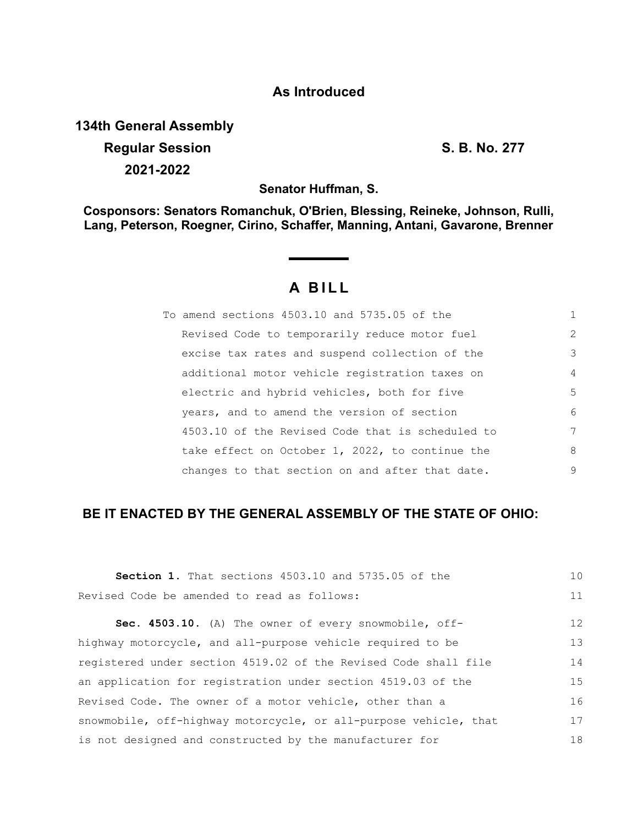# **As Introduced**

**134th General Assembly Regular Session S. B. No. 277 2021-2022**

**Senator Huffman, S.**

**Cosponsors: Senators Romanchuk, O'Brien, Blessing, Reineke, Johnson, Rulli, Lang, Peterson, Roegner, Cirino, Schaffer, Manning, Antani, Gavarone, Brenner**

# **A B I L L**

| To amend sections 4503.10 and 5735.05 of the     | 1              |
|--------------------------------------------------|----------------|
| Revised Code to temporarily reduce motor fuel    | $\overline{2}$ |
| excise tax rates and suspend collection of the   | 3              |
| additional motor vehicle registration taxes on   | $\overline{4}$ |
| electric and hybrid vehicles, both for five      | 5              |
| years, and to amend the version of section       | 6              |
| 4503.10 of the Revised Code that is scheduled to | 7              |
| take effect on October 1, 2022, to continue the  | 8              |
| changes to that section on and after that date.  | 9              |

# **BE IT ENACTED BY THE GENERAL ASSEMBLY OF THE STATE OF OHIO:**

| <b>Section 1.</b> That sections 4503.10 and 5735.05 of the       | 10 |
|------------------------------------------------------------------|----|
| Revised Code be amended to read as follows:                      | 11 |
| Sec. 4503.10. (A) The owner of every snowmobile, off-            | 12 |
| highway motorcycle, and all-purpose vehicle required to be       | 13 |
| registered under section 4519.02 of the Revised Code shall file  | 14 |
| an application for registration under section 4519.03 of the     | 15 |
| Revised Code. The owner of a motor vehicle, other than a         | 16 |
| snowmobile, off-highway motorcycle, or all-purpose vehicle, that | 17 |
| is not designed and constructed by the manufacturer for          | 18 |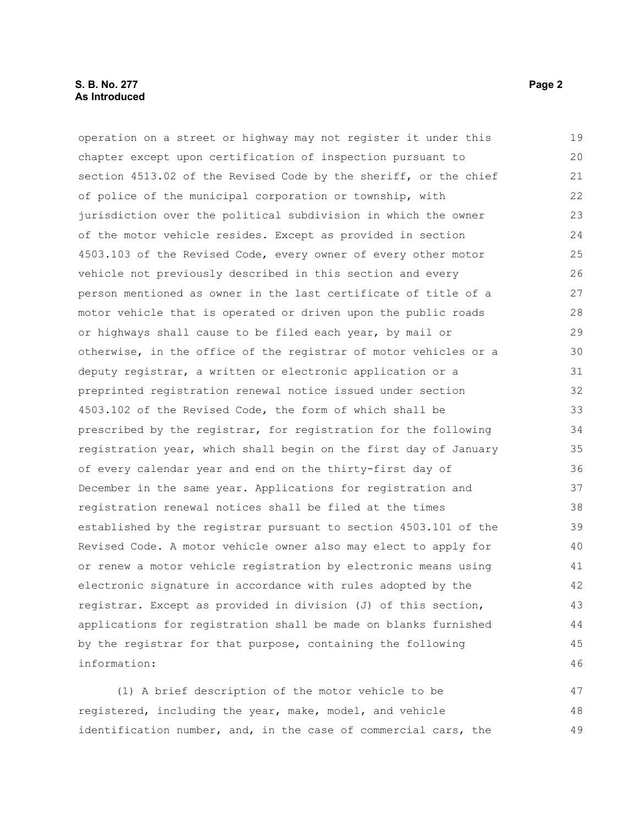#### **S. B. No. 277** Page 2 **As Introduced**

operation on a street or highway may not register it under this chapter except upon certification of inspection pursuant to section 4513.02 of the Revised Code by the sheriff, or the chief of police of the municipal corporation or township, with jurisdiction over the political subdivision in which the owner of the motor vehicle resides. Except as provided in section 4503.103 of the Revised Code, every owner of every other motor vehicle not previously described in this section and every person mentioned as owner in the last certificate of title of a motor vehicle that is operated or driven upon the public roads or highways shall cause to be filed each year, by mail or otherwise, in the office of the registrar of motor vehicles or a deputy registrar, a written or electronic application or a preprinted registration renewal notice issued under section 4503.102 of the Revised Code, the form of which shall be prescribed by the registrar, for registration for the following registration year, which shall begin on the first day of January of every calendar year and end on the thirty-first day of December in the same year. Applications for registration and registration renewal notices shall be filed at the times established by the registrar pursuant to section 4503.101 of the Revised Code. A motor vehicle owner also may elect to apply for or renew a motor vehicle registration by electronic means using electronic signature in accordance with rules adopted by the registrar. Except as provided in division (J) of this section, applications for registration shall be made on blanks furnished by the registrar for that purpose, containing the following information: 19 20 21 22 23 24 25 26 27 28 29 30 31 32 33 34 35 36 37 38 39 40 41 42 43 44 45 46

(1) A brief description of the motor vehicle to be registered, including the year, make, model, and vehicle identification number, and, in the case of commercial cars, the 47 48 49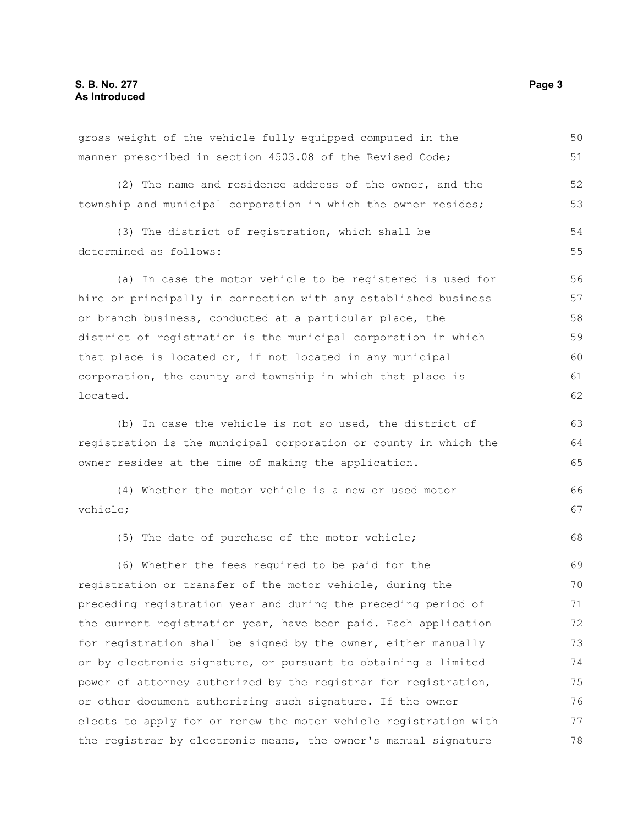| gross weight of the vehicle fully equipped computed in the       | 50     |
|------------------------------------------------------------------|--------|
| manner prescribed in section 4503.08 of the Revised Code;        | 51     |
| (2) The name and residence address of the owner, and the         | 52     |
| township and municipal corporation in which the owner resides;   | 53     |
| (3) The district of registration, which shall be                 | 54     |
| determined as follows:                                           | 55     |
| (a) In case the motor vehicle to be registered is used for       | 56     |
| hire or principally in connection with any established business  | 57     |
| or branch business, conducted at a particular place, the         | 58     |
| district of registration is the municipal corporation in which   | 59     |
| that place is located or, if not located in any municipal        | 60     |
| corporation, the county and township in which that place is      | 61     |
| located.                                                         | 62     |
| (b) In case the vehicle is not so used, the district of          | 63     |
| registration is the municipal corporation or county in which the | 64     |
| owner resides at the time of making the application.             | 65     |
| (4) Whether the motor vehicle is a new or used motor             | 66     |
| vehicle;                                                         | 67     |
| (5) The date of purchase of the motor vehicle;                   | 68     |
| (6) Whether the fees required to be paid for the                 | 69     |
| registration or transfer of the motor vehicle, during the        | 70     |
| preceding registration year and during the preceding period of   | $71\,$ |
| the current registration year, have been paid. Each application  | 72     |
| for registration shall be signed by the owner, either manually   | 73     |
| or by electronic signature, or pursuant to obtaining a limited   | 74     |
| power of attorney authorized by the registrar for registration,  | 75     |
| or other document authorizing such signature. If the owner       | 76     |
| elects to apply for or renew the motor vehicle registration with | 77     |
| the registrar by electronic means, the owner's manual signature  | 78     |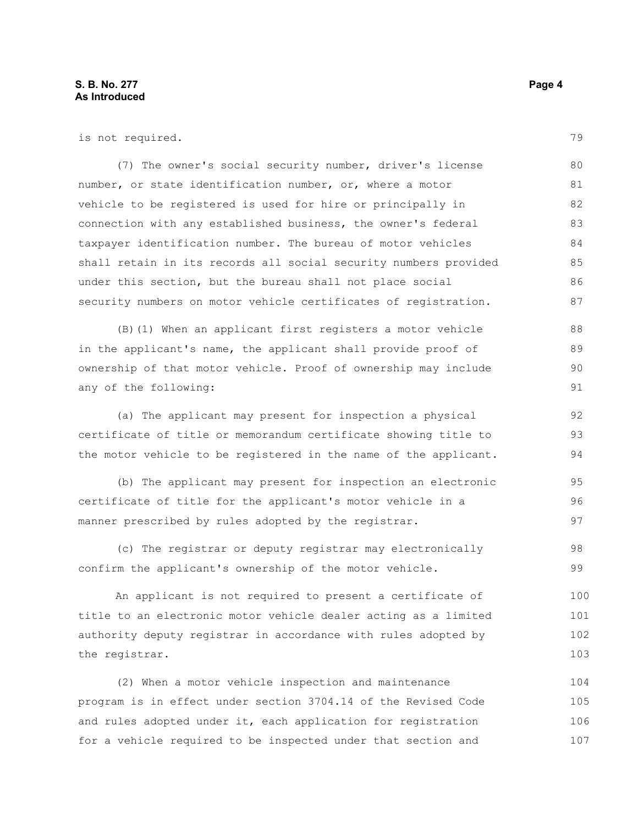is not required.

(7) The owner's social security number, driver's license number, or state identification number, or, where a motor vehicle to be registered is used for hire or principally in connection with any established business, the owner's federal taxpayer identification number. The bureau of motor vehicles shall retain in its records all social security numbers provided under this section, but the bureau shall not place social security numbers on motor vehicle certificates of registration. 80 81 82 83 84 85 86 87

(B)(1) When an applicant first registers a motor vehicle in the applicant's name, the applicant shall provide proof of ownership of that motor vehicle. Proof of ownership may include any of the following:

(a) The applicant may present for inspection a physical certificate of title or memorandum certificate showing title to the motor vehicle to be registered in the name of the applicant. 92 93 94

(b) The applicant may present for inspection an electronic certificate of title for the applicant's motor vehicle in a manner prescribed by rules adopted by the registrar. 95 96 97

(c) The registrar or deputy registrar may electronically confirm the applicant's ownership of the motor vehicle. 98 99

An applicant is not required to present a certificate of title to an electronic motor vehicle dealer acting as a limited authority deputy registrar in accordance with rules adopted by the registrar. 100 101 102 103

(2) When a motor vehicle inspection and maintenance program is in effect under section 3704.14 of the Revised Code and rules adopted under it, each application for registration for a vehicle required to be inspected under that section and 104 105 106 107

79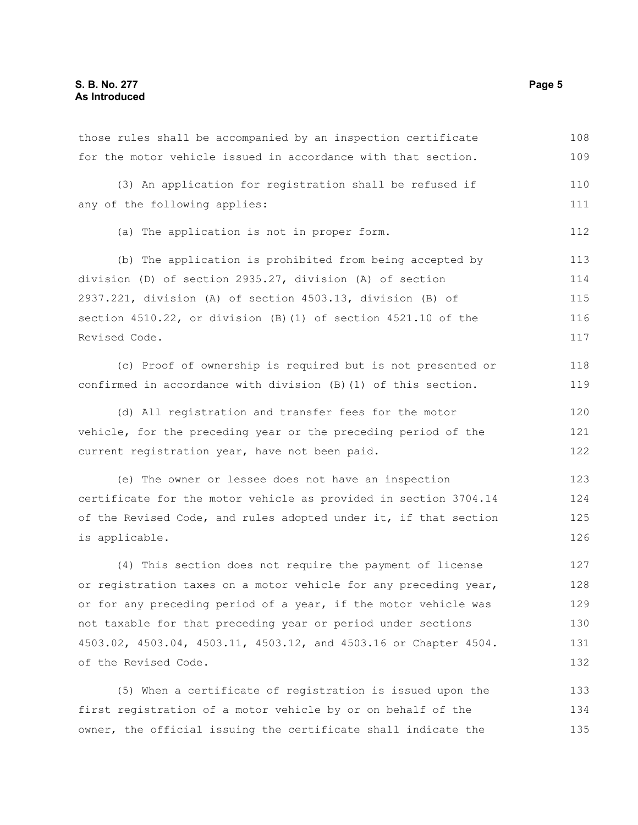| those rules shall be accompanied by an inspection certificate    | 108 |
|------------------------------------------------------------------|-----|
| for the motor vehicle issued in accordance with that section.    | 109 |
| (3) An application for registration shall be refused if          | 110 |
| any of the following applies:                                    | 111 |
| (a) The application is not in proper form.                       | 112 |
| (b) The application is prohibited from being accepted by         | 113 |
| division (D) of section 2935.27, division (A) of section         | 114 |
| 2937.221, division (A) of section 4503.13, division (B) of       | 115 |
| section 4510.22, or division (B) (1) of section 4521.10 of the   | 116 |
| Revised Code.                                                    | 117 |
| (c) Proof of ownership is required but is not presented or       | 118 |
| confirmed in accordance with division (B) (1) of this section.   | 119 |
| (d) All registration and transfer fees for the motor             | 120 |
| vehicle, for the preceding year or the preceding period of the   | 121 |
| current registration year, have not been paid.                   | 122 |
| (e) The owner or lessee does not have an inspection              | 123 |
| certificate for the motor vehicle as provided in section 3704.14 | 124 |
| of the Revised Code, and rules adopted under it, if that section | 125 |
| is applicable.                                                   | 126 |
| (4) This section does not require the payment of license         | 127 |
| or registration taxes on a motor vehicle for any preceding year, | 128 |
| or for any preceding period of a year, if the motor vehicle was  | 129 |
| not taxable for that preceding year or period under sections     | 130 |
| 4503.02, 4503.04, 4503.11, 4503.12, and 4503.16 or Chapter 4504. | 131 |
| of the Revised Code.                                             | 132 |
| (5) When a certificate of registration is issued upon the        | 133 |
| first registration of a motor vehicle by or on behalf of the     | 134 |
| owner, the official issuing the certificate shall indicate the   | 135 |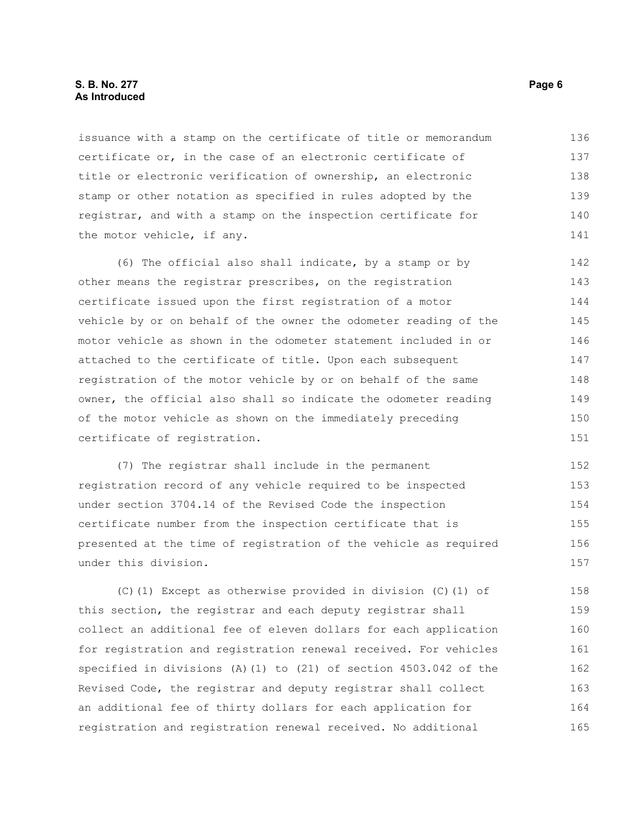#### **S. B. No. 277** Page 6 **As Introduced**

issuance with a stamp on the certificate of title or memorandum certificate or, in the case of an electronic certificate of title or electronic verification of ownership, an electronic stamp or other notation as specified in rules adopted by the registrar, and with a stamp on the inspection certificate for the motor vehicle, if any. 136 137 138 139 140 141

(6) The official also shall indicate, by a stamp or by other means the registrar prescribes, on the registration certificate issued upon the first registration of a motor vehicle by or on behalf of the owner the odometer reading of the motor vehicle as shown in the odometer statement included in or attached to the certificate of title. Upon each subsequent registration of the motor vehicle by or on behalf of the same owner, the official also shall so indicate the odometer reading of the motor vehicle as shown on the immediately preceding certificate of registration. 142 143 144 145 146 147 148 149 150 151

(7) The registrar shall include in the permanent registration record of any vehicle required to be inspected under section 3704.14 of the Revised Code the inspection certificate number from the inspection certificate that is presented at the time of registration of the vehicle as required under this division. 152 153 154 155 156 157

(C)(1) Except as otherwise provided in division (C)(1) of this section, the registrar and each deputy registrar shall collect an additional fee of eleven dollars for each application for registration and registration renewal received. For vehicles specified in divisions (A)(1) to (21) of section 4503.042 of the Revised Code, the registrar and deputy registrar shall collect an additional fee of thirty dollars for each application for registration and registration renewal received. No additional 158 159 160 161 162 163 164 165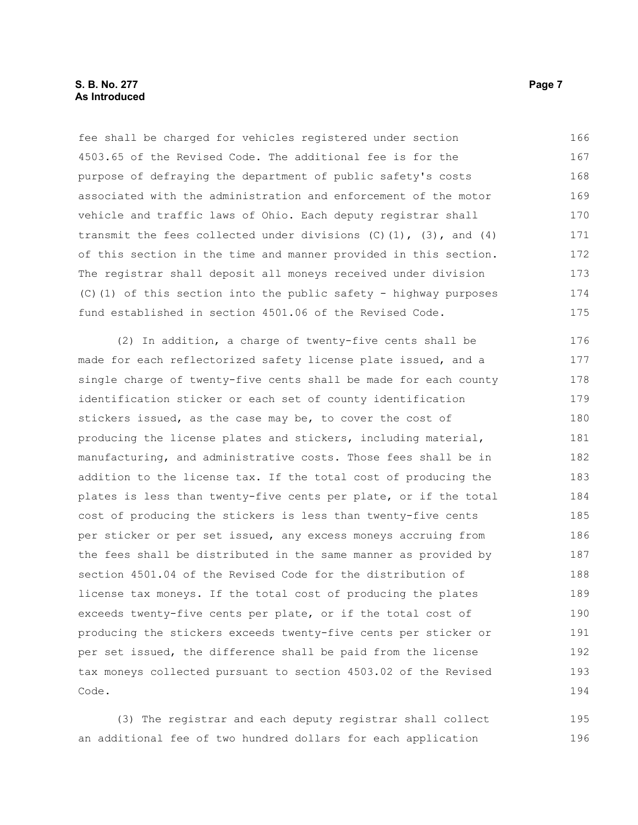### **S. B. No. 277** Page 7 **As Introduced**

fee shall be charged for vehicles registered under section 4503.65 of the Revised Code. The additional fee is for the purpose of defraying the department of public safety's costs associated with the administration and enforcement of the motor vehicle and traffic laws of Ohio. Each deputy registrar shall transmit the fees collected under divisions  $(C)$   $(1)$ ,  $(3)$ , and  $(4)$ of this section in the time and manner provided in this section. The registrar shall deposit all moneys received under division (C)(1) of this section into the public safety - highway purposes fund established in section 4501.06 of the Revised Code. 166 167 168 169 170 171 172 173 174 175

(2) In addition, a charge of twenty-five cents shall be made for each reflectorized safety license plate issued, and a single charge of twenty-five cents shall be made for each county identification sticker or each set of county identification stickers issued, as the case may be, to cover the cost of producing the license plates and stickers, including material, manufacturing, and administrative costs. Those fees shall be in addition to the license tax. If the total cost of producing the plates is less than twenty-five cents per plate, or if the total cost of producing the stickers is less than twenty-five cents per sticker or per set issued, any excess moneys accruing from the fees shall be distributed in the same manner as provided by section 4501.04 of the Revised Code for the distribution of license tax moneys. If the total cost of producing the plates exceeds twenty-five cents per plate, or if the total cost of producing the stickers exceeds twenty-five cents per sticker or per set issued, the difference shall be paid from the license tax moneys collected pursuant to section 4503.02 of the Revised Code. 176 177 178 179 180 181 182 183 184 185 186 187 188 189 190 191 192 193 194

(3) The registrar and each deputy registrar shall collect an additional fee of two hundred dollars for each application 195 196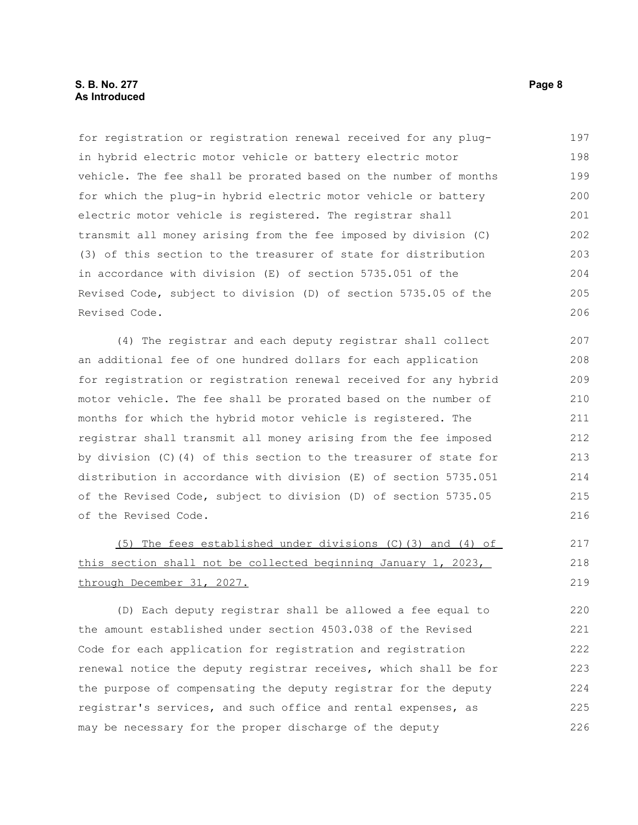#### **S. B. No. 277** Page 8 **As Introduced**

for registration or registration renewal received for any plugin hybrid electric motor vehicle or battery electric motor vehicle. The fee shall be prorated based on the number of months for which the plug-in hybrid electric motor vehicle or battery electric motor vehicle is registered. The registrar shall transmit all money arising from the fee imposed by division (C) (3) of this section to the treasurer of state for distribution in accordance with division (E) of section 5735.051 of the Revised Code, subject to division (D) of section 5735.05 of the Revised Code. 197 198 199 200 201 202 203 204 205 206

(4) The registrar and each deputy registrar shall collect an additional fee of one hundred dollars for each application for registration or registration renewal received for any hybrid motor vehicle. The fee shall be prorated based on the number of months for which the hybrid motor vehicle is registered. The registrar shall transmit all money arising from the fee imposed by division (C)(4) of this section to the treasurer of state for distribution in accordance with division (E) of section 5735.051 of the Revised Code, subject to division (D) of section 5735.05 of the Revised Code.

(5) The fees established under divisions (C)(3) and (4) of this section shall not be collected beginning January 1, 2023, through December 31, 2027.

(D) Each deputy registrar shall be allowed a fee equal to the amount established under section 4503.038 of the Revised Code for each application for registration and registration renewal notice the deputy registrar receives, which shall be for the purpose of compensating the deputy registrar for the deputy registrar's services, and such office and rental expenses, as may be necessary for the proper discharge of the deputy 220 221 222 223 224 225 226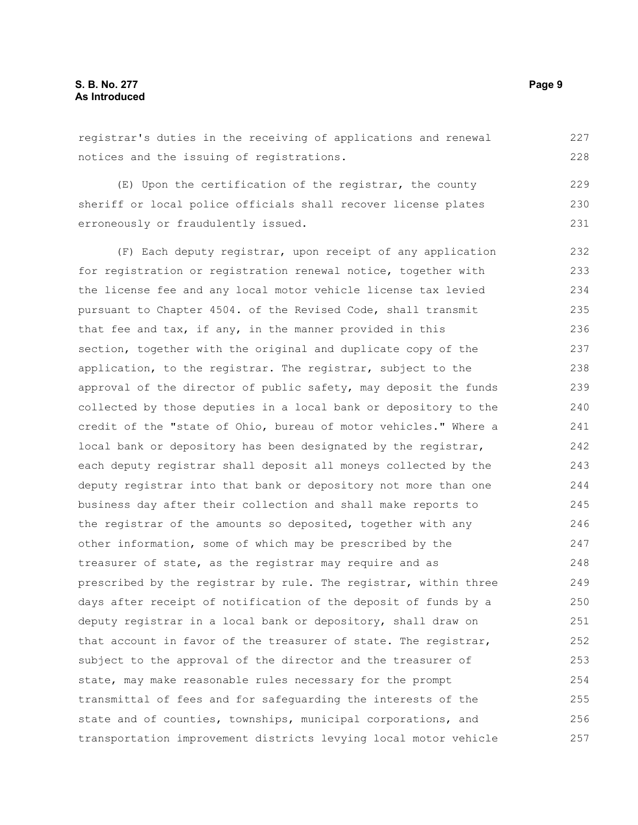registrar's duties in the receiving of applications and renewal notices and the issuing of registrations.

(E) Upon the certification of the registrar, the county sheriff or local police officials shall recover license plates erroneously or fraudulently issued. 229 230 231

(F) Each deputy registrar, upon receipt of any application for registration or registration renewal notice, together with the license fee and any local motor vehicle license tax levied pursuant to Chapter 4504. of the Revised Code, shall transmit that fee and tax, if any, in the manner provided in this section, together with the original and duplicate copy of the application, to the registrar. The registrar, subject to the approval of the director of public safety, may deposit the funds collected by those deputies in a local bank or depository to the credit of the "state of Ohio, bureau of motor vehicles." Where a local bank or depository has been designated by the registrar, each deputy registrar shall deposit all moneys collected by the deputy registrar into that bank or depository not more than one business day after their collection and shall make reports to the registrar of the amounts so deposited, together with any other information, some of which may be prescribed by the treasurer of state, as the registrar may require and as prescribed by the registrar by rule. The registrar, within three days after receipt of notification of the deposit of funds by a deputy registrar in a local bank or depository, shall draw on that account in favor of the treasurer of state. The registrar, subject to the approval of the director and the treasurer of state, may make reasonable rules necessary for the prompt transmittal of fees and for safeguarding the interests of the state and of counties, townships, municipal corporations, and transportation improvement districts levying local motor vehicle 232 233 234 235 236 237 238 239 240 241 242 243 244 245 246 247 248 249 250 251 252 253 254 255 256 257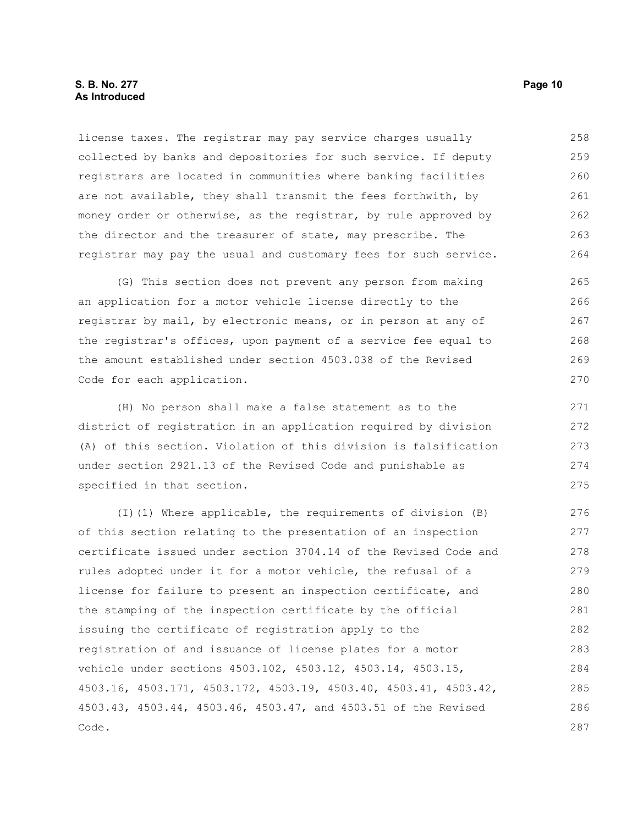#### **S. B. No. 277 Page 10 As Introduced**

license taxes. The registrar may pay service charges usually collected by banks and depositories for such service. If deputy registrars are located in communities where banking facilities are not available, they shall transmit the fees forthwith, by money order or otherwise, as the registrar, by rule approved by the director and the treasurer of state, may prescribe. The registrar may pay the usual and customary fees for such service. 258 259 260 261 262 263 264

(G) This section does not prevent any person from making an application for a motor vehicle license directly to the registrar by mail, by electronic means, or in person at any of the registrar's offices, upon payment of a service fee equal to the amount established under section 4503.038 of the Revised Code for each application.

(H) No person shall make a false statement as to the district of registration in an application required by division (A) of this section. Violation of this division is falsification under section 2921.13 of the Revised Code and punishable as specified in that section.

(I)(1) Where applicable, the requirements of division (B) of this section relating to the presentation of an inspection certificate issued under section 3704.14 of the Revised Code and rules adopted under it for a motor vehicle, the refusal of a license for failure to present an inspection certificate, and the stamping of the inspection certificate by the official issuing the certificate of registration apply to the registration of and issuance of license plates for a motor vehicle under sections 4503.102, 4503.12, 4503.14, 4503.15, 4503.16, 4503.171, 4503.172, 4503.19, 4503.40, 4503.41, 4503.42, 4503.43, 4503.44, 4503.46, 4503.47, and 4503.51 of the Revised Code. 276 277 278 279 280 281 282 283 284 285 286 287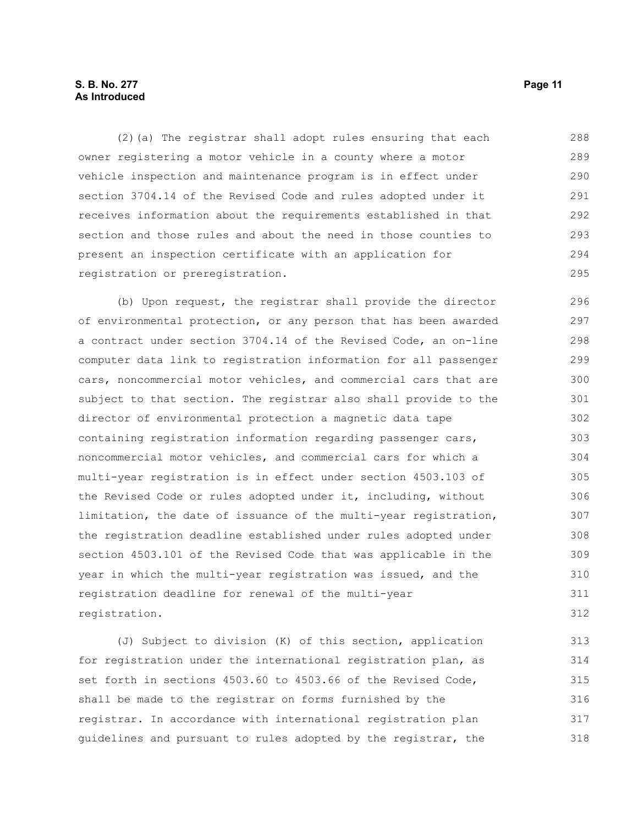### **S. B. No. 277 Page 11 As Introduced**

(2)(a) The registrar shall adopt rules ensuring that each owner registering a motor vehicle in a county where a motor vehicle inspection and maintenance program is in effect under section 3704.14 of the Revised Code and rules adopted under it receives information about the requirements established in that section and those rules and about the need in those counties to present an inspection certificate with an application for registration or preregistration. 288 289 290 291 292 293 294 295

(b) Upon request, the registrar shall provide the director of environmental protection, or any person that has been awarded a contract under section 3704.14 of the Revised Code, an on-line computer data link to registration information for all passenger cars, noncommercial motor vehicles, and commercial cars that are subject to that section. The registrar also shall provide to the director of environmental protection a magnetic data tape containing registration information regarding passenger cars, noncommercial motor vehicles, and commercial cars for which a multi-year registration is in effect under section 4503.103 of the Revised Code or rules adopted under it, including, without limitation, the date of issuance of the multi-year registration, the registration deadline established under rules adopted under section 4503.101 of the Revised Code that was applicable in the year in which the multi-year registration was issued, and the registration deadline for renewal of the multi-year registration. 296 297 298 299 300 301 302 303 304 305 306 307 308 309 310 311 312

(J) Subject to division (K) of this section, application for registration under the international registration plan, as set forth in sections 4503.60 to 4503.66 of the Revised Code, shall be made to the registrar on forms furnished by the registrar. In accordance with international registration plan guidelines and pursuant to rules adopted by the registrar, the 313 314 315 316 317 318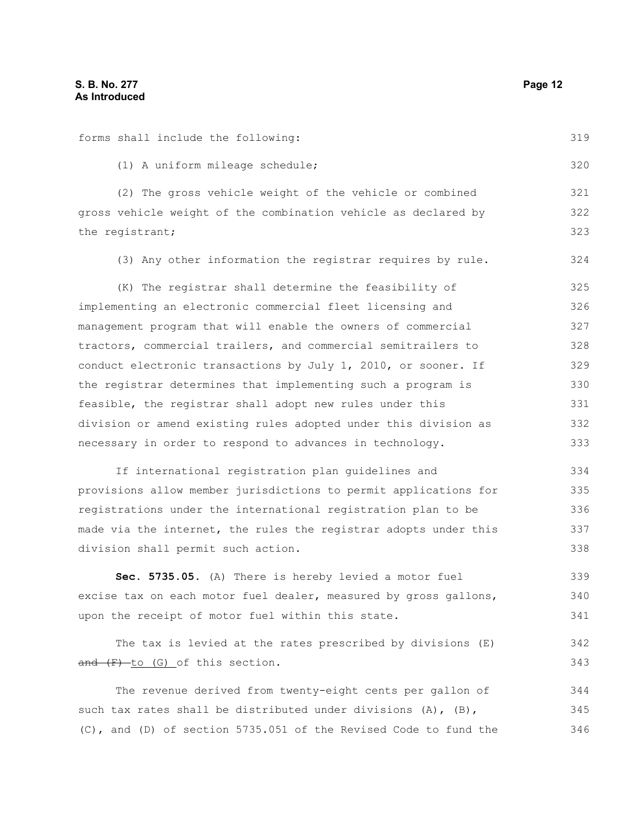forms shall include the following: (1) A uniform mileage schedule; (2) The gross vehicle weight of the vehicle or combined gross vehicle weight of the combination vehicle as declared by the registrant; (3) Any other information the registrar requires by rule. (K) The registrar shall determine the feasibility of implementing an electronic commercial fleet licensing and management program that will enable the owners of commercial tractors, commercial trailers, and commercial semitrailers to conduct electronic transactions by July 1, 2010, or sooner. If the registrar determines that implementing such a program is feasible, the registrar shall adopt new rules under this division or amend existing rules adopted under this division as necessary in order to respond to advances in technology. If international registration plan guidelines and provisions allow member jurisdictions to permit applications for registrations under the international registration plan to be made via the internet, the rules the registrar adopts under this division shall permit such action. **Sec. 5735.05.** (A) There is hereby levied a motor fuel excise tax on each motor fuel dealer, measured by gross gallons, upon the receipt of motor fuel within this state. 319 320 321 322 323 324 325 326 327 328 329 330 331 332 333 334 335 336 337 338 339 340 341

The tax is levied at the rates prescribed by divisions (E) and  $(F)$  to  $(G)$  of this section. 342 343

The revenue derived from twenty-eight cents per gallon of such tax rates shall be distributed under divisions  $(A)$ ,  $(B)$ , (C), and (D) of section 5735.051 of the Revised Code to fund the 344 345 346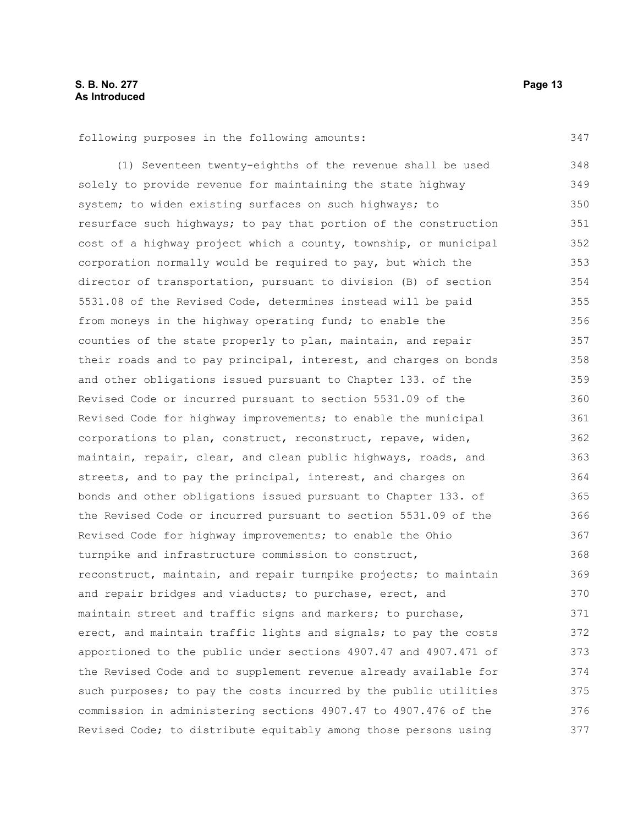347

following purposes in the following amounts:

(1) Seventeen twenty-eighths of the revenue shall be used solely to provide revenue for maintaining the state highway system; to widen existing surfaces on such highways; to resurface such highways; to pay that portion of the construction cost of a highway project which a county, township, or municipal corporation normally would be required to pay, but which the director of transportation, pursuant to division (B) of section 5531.08 of the Revised Code, determines instead will be paid from moneys in the highway operating fund; to enable the counties of the state properly to plan, maintain, and repair their roads and to pay principal, interest, and charges on bonds and other obligations issued pursuant to Chapter 133. of the Revised Code or incurred pursuant to section 5531.09 of the Revised Code for highway improvements; to enable the municipal corporations to plan, construct, reconstruct, repave, widen, maintain, repair, clear, and clean public highways, roads, and streets, and to pay the principal, interest, and charges on bonds and other obligations issued pursuant to Chapter 133. of the Revised Code or incurred pursuant to section 5531.09 of the Revised Code for highway improvements; to enable the Ohio turnpike and infrastructure commission to construct, reconstruct, maintain, and repair turnpike projects; to maintain and repair bridges and viaducts; to purchase, erect, and maintain street and traffic signs and markers; to purchase, erect, and maintain traffic lights and signals; to pay the costs apportioned to the public under sections 4907.47 and 4907.471 of the Revised Code and to supplement revenue already available for such purposes; to pay the costs incurred by the public utilities commission in administering sections 4907.47 to 4907.476 of the Revised Code; to distribute equitably among those persons using 348 349 350 351 352 353 354 355 356 357 358 359 360 361 362 363 364 365 366 367 368 369 370 371 372 373 374 375 376 377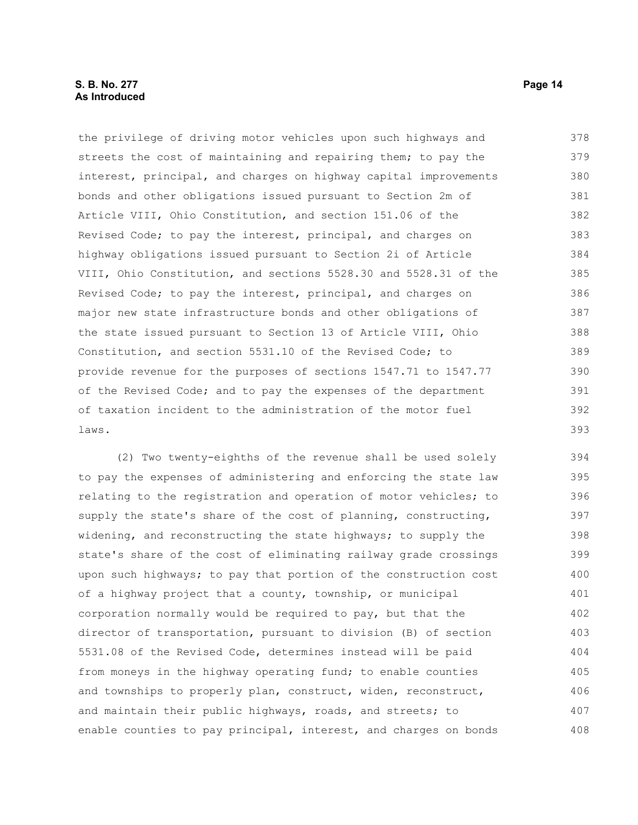#### **S. B. No. 277 Page 14 As Introduced**

the privilege of driving motor vehicles upon such highways and streets the cost of maintaining and repairing them; to pay the interest, principal, and charges on highway capital improvements bonds and other obligations issued pursuant to Section 2m of Article VIII, Ohio Constitution, and section 151.06 of the Revised Code; to pay the interest, principal, and charges on highway obligations issued pursuant to Section 2i of Article VIII, Ohio Constitution, and sections 5528.30 and 5528.31 of the Revised Code; to pay the interest, principal, and charges on major new state infrastructure bonds and other obligations of the state issued pursuant to Section 13 of Article VIII, Ohio Constitution, and section 5531.10 of the Revised Code; to provide revenue for the purposes of sections 1547.71 to 1547.77 of the Revised Code; and to pay the expenses of the department of taxation incident to the administration of the motor fuel laws. 378 379 380 381 382 383 384 385 386 387 388 389 390 391 392 393

(2) Two twenty-eighths of the revenue shall be used solely to pay the expenses of administering and enforcing the state law relating to the registration and operation of motor vehicles; to supply the state's share of the cost of planning, constructing, widening, and reconstructing the state highways; to supply the state's share of the cost of eliminating railway grade crossings upon such highways; to pay that portion of the construction cost of a highway project that a county, township, or municipal corporation normally would be required to pay, but that the director of transportation, pursuant to division (B) of section 5531.08 of the Revised Code, determines instead will be paid from moneys in the highway operating fund; to enable counties and townships to properly plan, construct, widen, reconstruct, and maintain their public highways, roads, and streets; to enable counties to pay principal, interest, and charges on bonds 394 395 396 397 398 399 400 401 402 403 404 405 406 407 408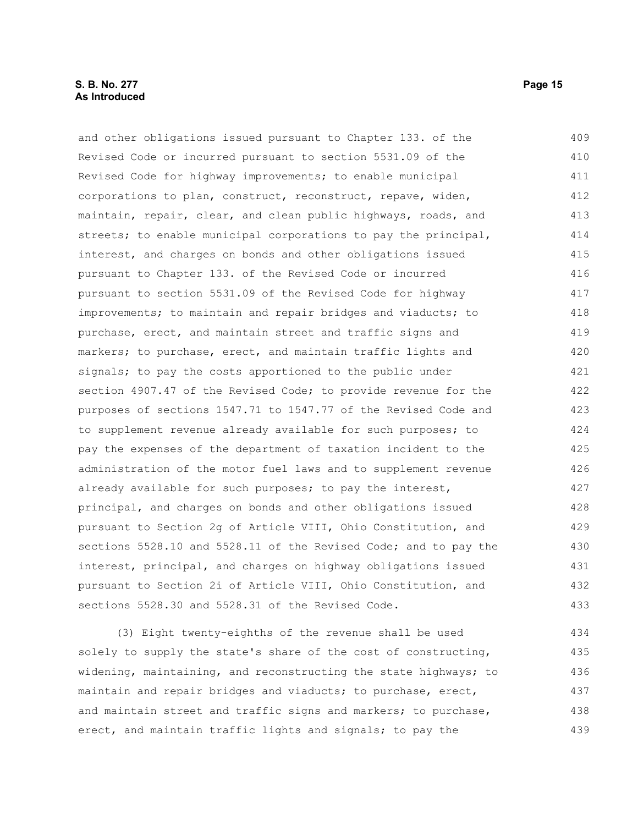#### **S. B. No. 277 Page 15 As Introduced**

and other obligations issued pursuant to Chapter 133. of the Revised Code or incurred pursuant to section 5531.09 of the Revised Code for highway improvements; to enable municipal corporations to plan, construct, reconstruct, repave, widen, maintain, repair, clear, and clean public highways, roads, and streets; to enable municipal corporations to pay the principal, interest, and charges on bonds and other obligations issued pursuant to Chapter 133. of the Revised Code or incurred pursuant to section 5531.09 of the Revised Code for highway improvements; to maintain and repair bridges and viaducts; to purchase, erect, and maintain street and traffic signs and markers; to purchase, erect, and maintain traffic lights and signals; to pay the costs apportioned to the public under section 4907.47 of the Revised Code; to provide revenue for the purposes of sections 1547.71 to 1547.77 of the Revised Code and to supplement revenue already available for such purposes; to pay the expenses of the department of taxation incident to the administration of the motor fuel laws and to supplement revenue already available for such purposes; to pay the interest, principal, and charges on bonds and other obligations issued pursuant to Section 2g of Article VIII, Ohio Constitution, and sections 5528.10 and 5528.11 of the Revised Code; and to pay the interest, principal, and charges on highway obligations issued pursuant to Section 2i of Article VIII, Ohio Constitution, and sections 5528.30 and 5528.31 of the Revised Code. 409 410 411 412 413 414 415 416 417 418 419 420 421 422 423 424 425 426 427 428 429 430 431 432 433

(3) Eight twenty-eighths of the revenue shall be used solely to supply the state's share of the cost of constructing, widening, maintaining, and reconstructing the state highways; to maintain and repair bridges and viaducts; to purchase, erect, and maintain street and traffic signs and markers; to purchase, erect, and maintain traffic lights and signals; to pay the 434 435 436 437 438 439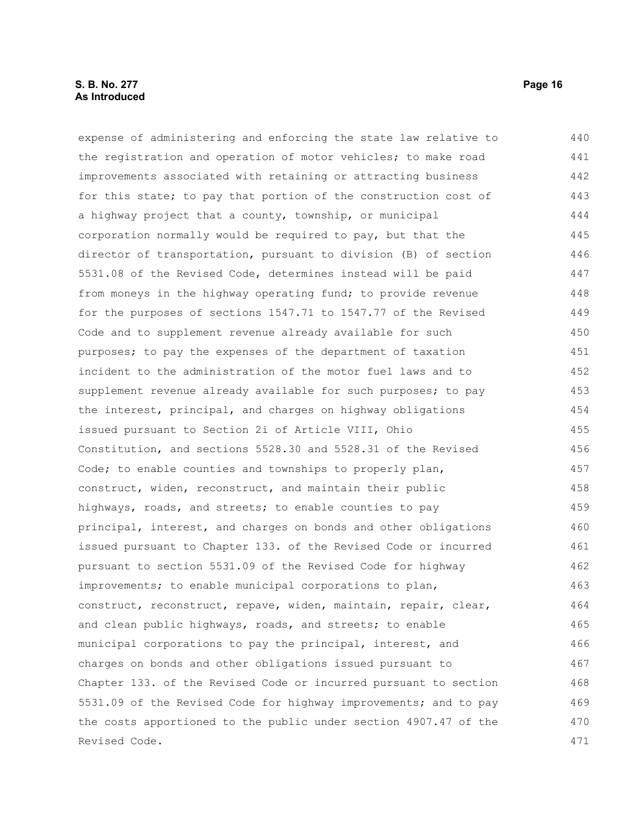#### **S. B. No. 277 Page 16 As Introduced**

expense of administering and enforcing the state law relative to the registration and operation of motor vehicles; to make road improvements associated with retaining or attracting business for this state; to pay that portion of the construction cost of a highway project that a county, township, or municipal corporation normally would be required to pay, but that the director of transportation, pursuant to division (B) of section 5531.08 of the Revised Code, determines instead will be paid from moneys in the highway operating fund; to provide revenue for the purposes of sections 1547.71 to 1547.77 of the Revised Code and to supplement revenue already available for such purposes; to pay the expenses of the department of taxation incident to the administration of the motor fuel laws and to supplement revenue already available for such purposes; to pay the interest, principal, and charges on highway obligations issued pursuant to Section 2i of Article VIII, Ohio Constitution, and sections 5528.30 and 5528.31 of the Revised Code; to enable counties and townships to properly plan, construct, widen, reconstruct, and maintain their public highways, roads, and streets; to enable counties to pay principal, interest, and charges on bonds and other obligations issued pursuant to Chapter 133. of the Revised Code or incurred pursuant to section 5531.09 of the Revised Code for highway improvements; to enable municipal corporations to plan, construct, reconstruct, repave, widen, maintain, repair, clear, and clean public highways, roads, and streets; to enable municipal corporations to pay the principal, interest, and charges on bonds and other obligations issued pursuant to Chapter 133. of the Revised Code or incurred pursuant to section 5531.09 of the Revised Code for highway improvements; and to pay the costs apportioned to the public under section 4907.47 of the Revised Code. 440 441 442 443 444 445 446 447 448 449 450 451 452 453 454 455 456 457 458 459 460 461 462 463 464 465 466 467 468 469 470 471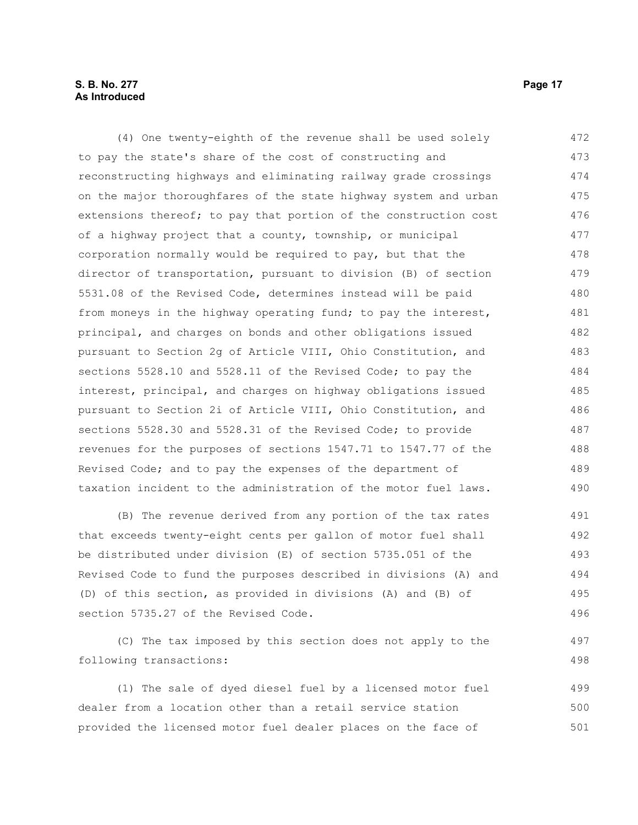### **S. B. No. 277 Page 17 As Introduced**

(4) One twenty-eighth of the revenue shall be used solely to pay the state's share of the cost of constructing and reconstructing highways and eliminating railway grade crossings on the major thoroughfares of the state highway system and urban extensions thereof; to pay that portion of the construction cost of a highway project that a county, township, or municipal corporation normally would be required to pay, but that the director of transportation, pursuant to division (B) of section 5531.08 of the Revised Code, determines instead will be paid from moneys in the highway operating fund; to pay the interest, principal, and charges on bonds and other obligations issued pursuant to Section 2g of Article VIII, Ohio Constitution, and sections 5528.10 and 5528.11 of the Revised Code; to pay the interest, principal, and charges on highway obligations issued pursuant to Section 2i of Article VIII, Ohio Constitution, and sections 5528.30 and 5528.31 of the Revised Code; to provide revenues for the purposes of sections 1547.71 to 1547.77 of the Revised Code; and to pay the expenses of the department of taxation incident to the administration of the motor fuel laws. (B) The revenue derived from any portion of the tax rates 472 473 474 475 476 477 478 479 480 481 482 483 484 485 486 487 488 489 490 491

that exceeds twenty-eight cents per gallon of motor fuel shall be distributed under division (E) of section 5735.051 of the Revised Code to fund the purposes described in divisions (A) and (D) of this section, as provided in divisions (A) and (B) of section 5735.27 of the Revised Code. 492 493 494 495 496

(C) The tax imposed by this section does not apply to the following transactions: 497 498

(1) The sale of dyed diesel fuel by a licensed motor fuel dealer from a location other than a retail service station provided the licensed motor fuel dealer places on the face of 499 500 501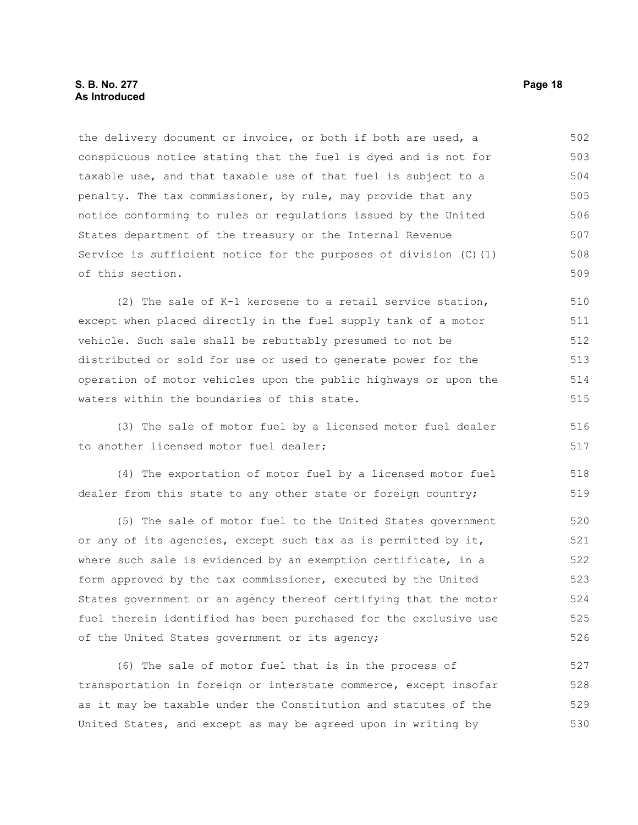#### **S. B. No. 277 Page 18 As Introduced**

the delivery document or invoice, or both if both are used, a conspicuous notice stating that the fuel is dyed and is not for taxable use, and that taxable use of that fuel is subject to a penalty. The tax commissioner, by rule, may provide that any notice conforming to rules or regulations issued by the United States department of the treasury or the Internal Revenue Service is sufficient notice for the purposes of division (C)(1) of this section. 502 503 504 505 506 507 508 509

(2) The sale of K-1 kerosene to a retail service station, except when placed directly in the fuel supply tank of a motor vehicle. Such sale shall be rebuttably presumed to not be distributed or sold for use or used to generate power for the operation of motor vehicles upon the public highways or upon the waters within the boundaries of this state. 510 511 512 513 514 515

(3) The sale of motor fuel by a licensed motor fuel dealer to another licensed motor fuel dealer;

(4) The exportation of motor fuel by a licensed motor fuel dealer from this state to any other state or foreign country;

(5) The sale of motor fuel to the United States government or any of its agencies, except such tax as is permitted by it, where such sale is evidenced by an exemption certificate, in a form approved by the tax commissioner, executed by the United States government or an agency thereof certifying that the motor fuel therein identified has been purchased for the exclusive use of the United States government or its agency; 520 521 522 523 524 525 526

(6) The sale of motor fuel that is in the process of transportation in foreign or interstate commerce, except insofar as it may be taxable under the Constitution and statutes of the United States, and except as may be agreed upon in writing by 527 528 529 530

516 517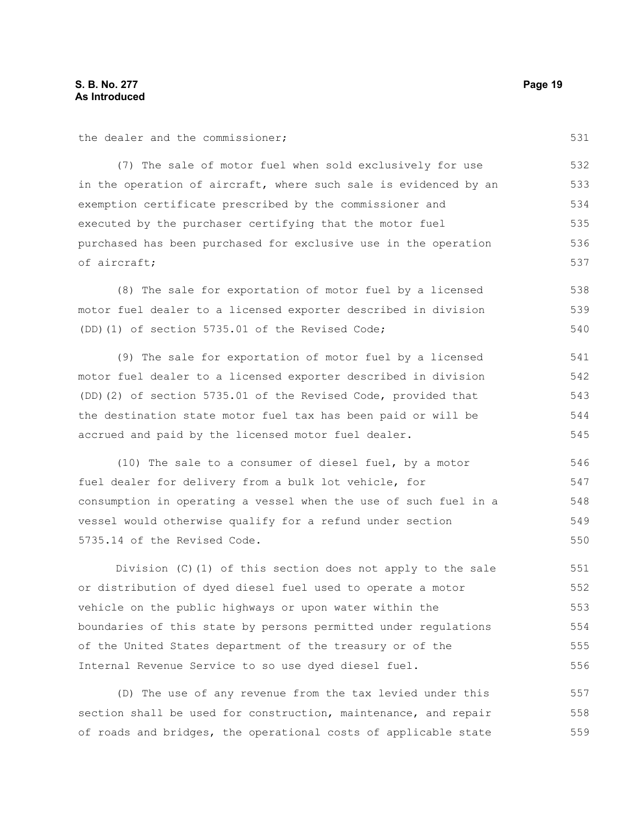the dealer and the commissioner;

531

(7) The sale of motor fuel when sold exclusively for use in the operation of aircraft, where such sale is evidenced by an exemption certificate prescribed by the commissioner and executed by the purchaser certifying that the motor fuel purchased has been purchased for exclusive use in the operation of aircraft; 532 533 534 535 536 537

(8) The sale for exportation of motor fuel by a licensed motor fuel dealer to a licensed exporter described in division (DD)(1) of section 5735.01 of the Revised Code; 538 539 540

(9) The sale for exportation of motor fuel by a licensed motor fuel dealer to a licensed exporter described in division (DD)(2) of section 5735.01 of the Revised Code, provided that the destination state motor fuel tax has been paid or will be accrued and paid by the licensed motor fuel dealer. 541 542 543 544 545

(10) The sale to a consumer of diesel fuel, by a motor fuel dealer for delivery from a bulk lot vehicle, for consumption in operating a vessel when the use of such fuel in a vessel would otherwise qualify for a refund under section 5735.14 of the Revised Code. 546 547 548 549 550

Division (C)(1) of this section does not apply to the sale or distribution of dyed diesel fuel used to operate a motor vehicle on the public highways or upon water within the boundaries of this state by persons permitted under regulations of the United States department of the treasury or of the Internal Revenue Service to so use dyed diesel fuel. 551 552 553 554 555 556

(D) The use of any revenue from the tax levied under this section shall be used for construction, maintenance, and repair of roads and bridges, the operational costs of applicable state 557 558 559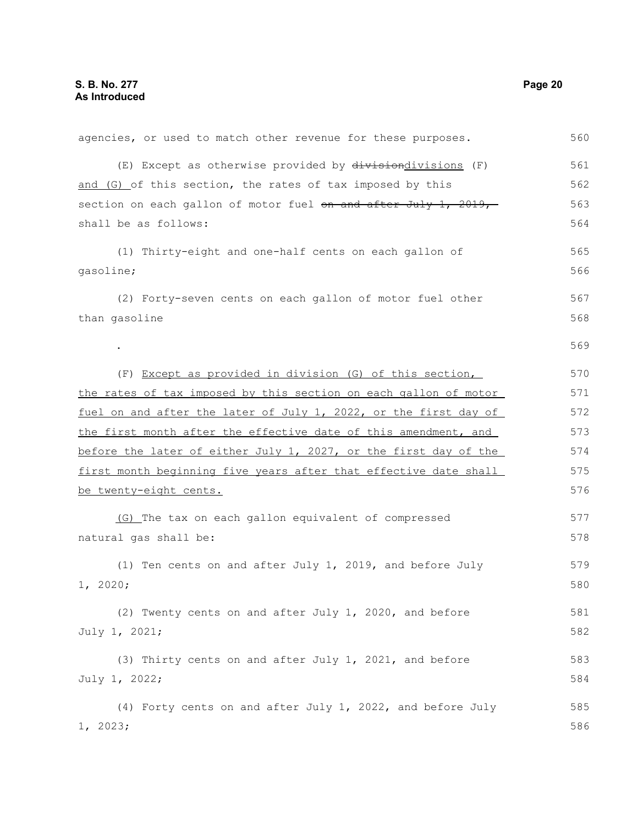agencies, or used to match other revenue for these purposes. (E) Except as otherwise provided by divisiondivisions (F) and (G) of this section, the rates of tax imposed by this section on each gallon of motor fuel on and after July 1, 2019, shall be as follows: (1) Thirty-eight and one-half cents on each gallon of gasoline; (2) Forty-seven cents on each gallon of motor fuel other than gasoline . (F) Except as provided in division (G) of this section, the rates of tax imposed by this section on each gallon of motor fuel on and after the later of July 1, 2022, or the first day of the first month after the effective date of this amendment, and before the later of either July 1, 2027, or the first day of the first month beginning five years after that effective date shall be twenty-eight cents. (G) The tax on each gallon equivalent of compressed natural gas shall be: (1) Ten cents on and after July 1, 2019, and before July 1, 2020; (2) Twenty cents on and after July 1, 2020, and before July 1, 2021; (3) Thirty cents on and after July 1, 2021, and before July 1, 2022; (4) Forty cents on and after July 1, 2022, and before July 1, 2023; 560 561 562 563 564 565 566 567 568 569 570 571 572 573 574 575 576 577 578 579 580 581 582 583 584 585 586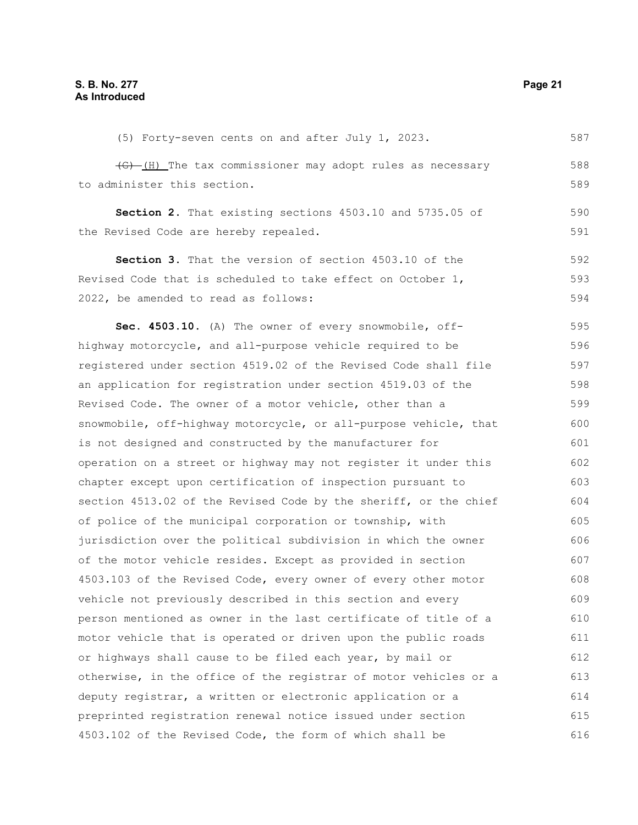| (5) Forty-seven cents on and after July 1, 2023.                 | 587 |
|------------------------------------------------------------------|-----|
| (G) (H) The tax commissioner may adopt rules as necessary        | 588 |
| to administer this section.                                      | 589 |
|                                                                  |     |
| Section 2. That existing sections 4503.10 and 5735.05 of         | 590 |
| the Revised Code are hereby repealed.                            | 591 |
| Section 3. That the version of section 4503.10 of the            | 592 |
| Revised Code that is scheduled to take effect on October 1,      | 593 |
| 2022, be amended to read as follows:                             | 594 |
| Sec. 4503.10. (A) The owner of every snowmobile, off-            | 595 |
| highway motorcycle, and all-purpose vehicle required to be       | 596 |
| registered under section 4519.02 of the Revised Code shall file  | 597 |
| an application for registration under section 4519.03 of the     | 598 |
| Revised Code. The owner of a motor vehicle, other than a         | 599 |
| snowmobile, off-highway motorcycle, or all-purpose vehicle, that | 600 |
| is not designed and constructed by the manufacturer for          | 601 |
| operation on a street or highway may not register it under this  | 602 |
| chapter except upon certification of inspection pursuant to      | 603 |
| section 4513.02 of the Revised Code by the sheriff, or the chief | 604 |
| of police of the municipal corporation or township, with         | 605 |
| jurisdiction over the political subdivision in which the owner   | 606 |
| of the motor vehicle resides. Except as provided in section      | 607 |
| 4503.103 of the Revised Code, every owner of every other motor   | 608 |
| vehicle not previously described in this section and every       | 609 |
| person mentioned as owner in the last certificate of title of a  | 610 |
| motor vehicle that is operated or driven upon the public roads   | 611 |
| or highways shall cause to be filed each year, by mail or        | 612 |
| otherwise, in the office of the registrar of motor vehicles or a | 613 |
| deputy registrar, a written or electronic application or a       | 614 |
| preprinted registration renewal notice issued under section      | 615 |
| 4503.102 of the Revised Code, the form of which shall be         | 616 |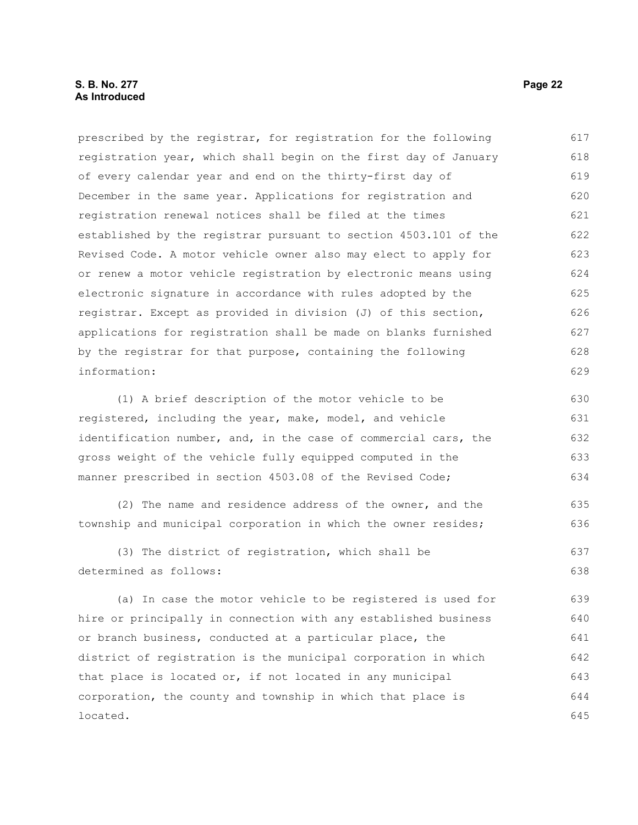### **S. B. No. 277 Page 22 As Introduced**

prescribed by the registrar, for registration for the following registration year, which shall begin on the first day of January of every calendar year and end on the thirty-first day of December in the same year. Applications for registration and registration renewal notices shall be filed at the times established by the registrar pursuant to section 4503.101 of the Revised Code. A motor vehicle owner also may elect to apply for or renew a motor vehicle registration by electronic means using electronic signature in accordance with rules adopted by the registrar. Except as provided in division (J) of this section, applications for registration shall be made on blanks furnished by the registrar for that purpose, containing the following information: 617 618 619 620 621 622 623 624 625 626 627 628 629

(1) A brief description of the motor vehicle to be registered, including the year, make, model, and vehicle identification number, and, in the case of commercial cars, the gross weight of the vehicle fully equipped computed in the manner prescribed in section 4503.08 of the Revised Code; 630 631 632 633 634

(2) The name and residence address of the owner, and the township and municipal corporation in which the owner resides; 635 636

(3) The district of registration, which shall be determined as follows: 637 638

(a) In case the motor vehicle to be registered is used for hire or principally in connection with any established business or branch business, conducted at a particular place, the district of registration is the municipal corporation in which that place is located or, if not located in any municipal corporation, the county and township in which that place is located. 639 640 641 642 643 644 645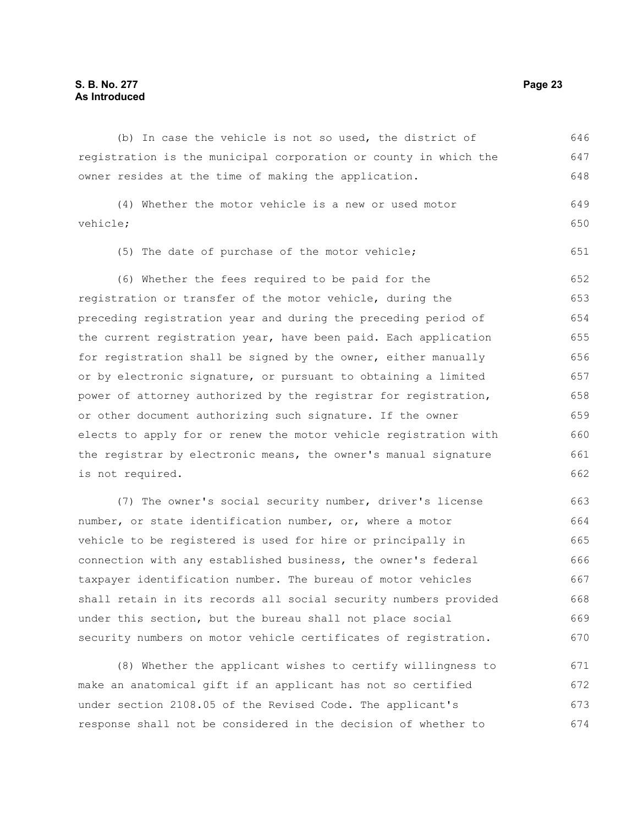#### **S. B. No. 277 Page 23 As Introduced**

(b) In case the vehicle is not so used, the district of registration is the municipal corporation or county in which the owner resides at the time of making the application. 646 647 648

(4) Whether the motor vehicle is a new or used motor vehicle; 649 650

(5) The date of purchase of the motor vehicle;

(6) Whether the fees required to be paid for the registration or transfer of the motor vehicle, during the preceding registration year and during the preceding period of the current registration year, have been paid. Each application for registration shall be signed by the owner, either manually or by electronic signature, or pursuant to obtaining a limited power of attorney authorized by the registrar for registration, or other document authorizing such signature. If the owner elects to apply for or renew the motor vehicle registration with the registrar by electronic means, the owner's manual signature is not required. 652 653 654 655 656 657 658 659 660 661 662

(7) The owner's social security number, driver's license number, or state identification number, or, where a motor vehicle to be registered is used for hire or principally in connection with any established business, the owner's federal taxpayer identification number. The bureau of motor vehicles shall retain in its records all social security numbers provided under this section, but the bureau shall not place social security numbers on motor vehicle certificates of registration. 663 664 665 666 667 668 669 670

(8) Whether the applicant wishes to certify willingness to make an anatomical gift if an applicant has not so certified under section 2108.05 of the Revised Code. The applicant's response shall not be considered in the decision of whether to 671 672 673 674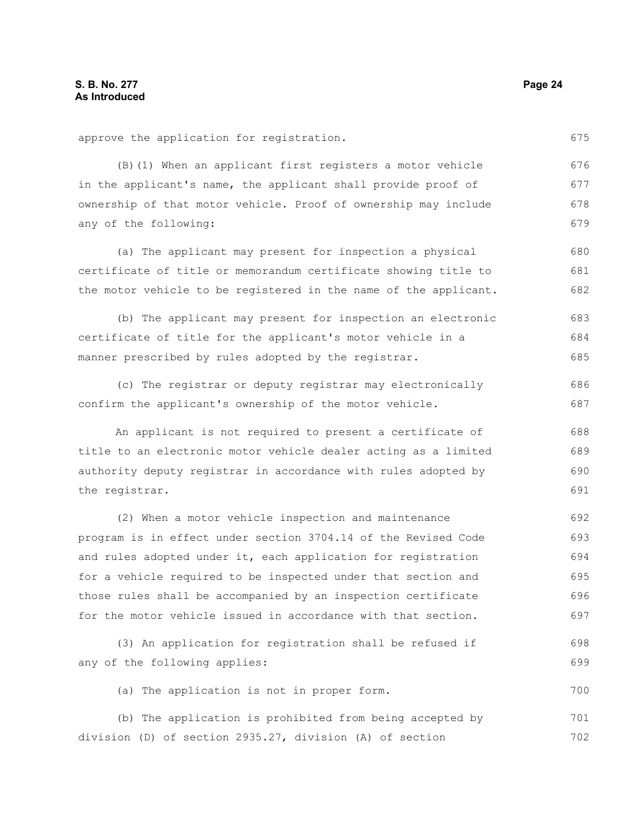any of the following:

approve the application for registration.

(B)(1) When an applicant first registers a motor vehicle

(a) The applicant may present for inspection a physical

in the applicant's name, the applicant shall provide proof of ownership of that motor vehicle. Proof of ownership may include

| certificate of title or memorandum certificate showing title to  | 681 |
|------------------------------------------------------------------|-----|
| the motor vehicle to be registered in the name of the applicant. | 682 |
| (b) The applicant may present for inspection an electronic       | 683 |
| certificate of title for the applicant's motor vehicle in a      | 684 |
| manner prescribed by rules adopted by the registrar.             | 685 |
| (c) The registrar or deputy registrar may electronically         | 686 |
| confirm the applicant's ownership of the motor vehicle.          | 687 |
| An applicant is not required to present a certificate of         | 688 |
| title to an electronic motor vehicle dealer acting as a limited  | 689 |
| authority deputy registrar in accordance with rules adopted by   | 690 |
| the registrar.                                                   | 691 |
| (2) When a motor vehicle inspection and maintenance              | 692 |
| program is in effect under section 3704.14 of the Revised Code   | 693 |
| and rules adopted under it, each application for registration    | 694 |
| for a vehicle required to be inspected under that section and    | 695 |
| those rules shall be accompanied by an inspection certificate    | 696 |
| for the motor vehicle issued in accordance with that section.    | 697 |
| (3) An application for registration shall be refused if          | 698 |
| any of the following applies:                                    | 699 |
| (a) The application is not in proper form.                       | 700 |
| (b) The application is prohibited from being accepted by         | 701 |
| division (D) of section 2935.27, division (A) of section         | 702 |

675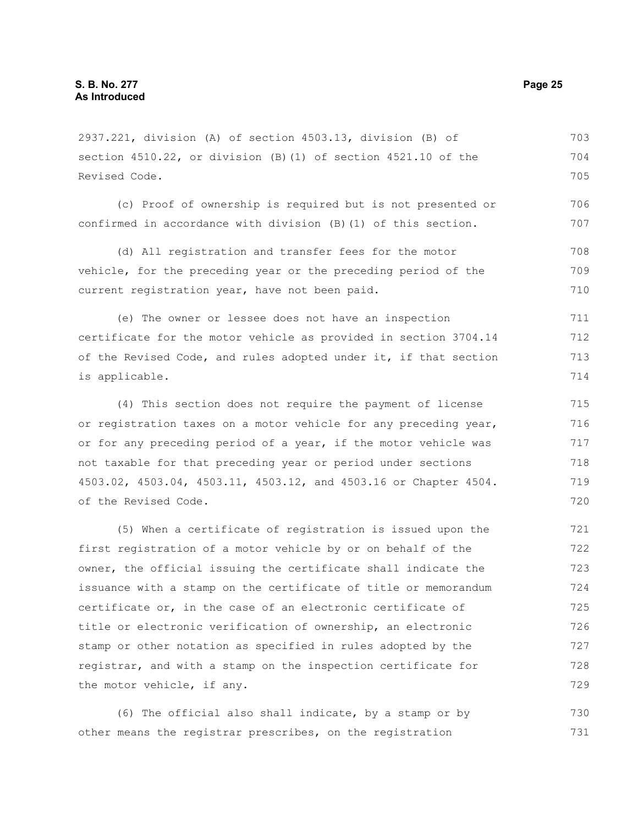2937.221, division (A) of section 4503.13, division (B) of section 4510.22, or division (B)(1) of section 4521.10 of the Revised Code. 703 704 705

(c) Proof of ownership is required but is not presented or confirmed in accordance with division (B)(1) of this section. 706 707

(d) All registration and transfer fees for the motor vehicle, for the preceding year or the preceding period of the current registration year, have not been paid. 708 709 710

(e) The owner or lessee does not have an inspection certificate for the motor vehicle as provided in section 3704.14 of the Revised Code, and rules adopted under it, if that section is applicable. 711 712 713 714

(4) This section does not require the payment of license or registration taxes on a motor vehicle for any preceding year, or for any preceding period of a year, if the motor vehicle was not taxable for that preceding year or period under sections 4503.02, 4503.04, 4503.11, 4503.12, and 4503.16 or Chapter 4504. of the Revised Code.

(5) When a certificate of registration is issued upon the first registration of a motor vehicle by or on behalf of the owner, the official issuing the certificate shall indicate the issuance with a stamp on the certificate of title or memorandum certificate or, in the case of an electronic certificate of title or electronic verification of ownership, an electronic stamp or other notation as specified in rules adopted by the registrar, and with a stamp on the inspection certificate for the motor vehicle, if any. 721 722 723 724 725 726 727 728 729

(6) The official also shall indicate, by a stamp or by other means the registrar prescribes, on the registration 730 731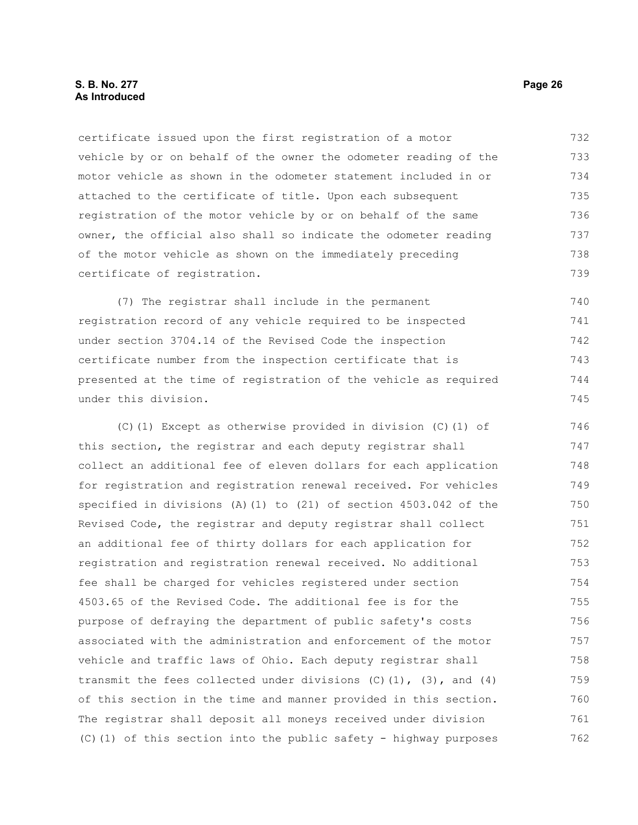#### **S. B. No. 277 Page 26 As Introduced**

certificate issued upon the first registration of a motor vehicle by or on behalf of the owner the odometer reading of the motor vehicle as shown in the odometer statement included in or attached to the certificate of title. Upon each subsequent registration of the motor vehicle by or on behalf of the same owner, the official also shall so indicate the odometer reading of the motor vehicle as shown on the immediately preceding certificate of registration. 732 733 734 735 736 737 738 739

(7) The registrar shall include in the permanent registration record of any vehicle required to be inspected under section 3704.14 of the Revised Code the inspection certificate number from the inspection certificate that is presented at the time of registration of the vehicle as required under this division. 740 741 742 743 744 745

(C)(1) Except as otherwise provided in division (C)(1) of this section, the registrar and each deputy registrar shall collect an additional fee of eleven dollars for each application for registration and registration renewal received. For vehicles specified in divisions (A)(1) to (21) of section 4503.042 of the Revised Code, the registrar and deputy registrar shall collect an additional fee of thirty dollars for each application for registration and registration renewal received. No additional fee shall be charged for vehicles registered under section 4503.65 of the Revised Code. The additional fee is for the purpose of defraying the department of public safety's costs associated with the administration and enforcement of the motor vehicle and traffic laws of Ohio. Each deputy registrar shall transmit the fees collected under divisions  $(C)$   $(1)$ ,  $(3)$ , and  $(4)$ of this section in the time and manner provided in this section. The registrar shall deposit all moneys received under division (C)(1) of this section into the public safety - highway purposes 746 747 748 749 750 751 752 753 754 755 756 757 758 759 760 761 762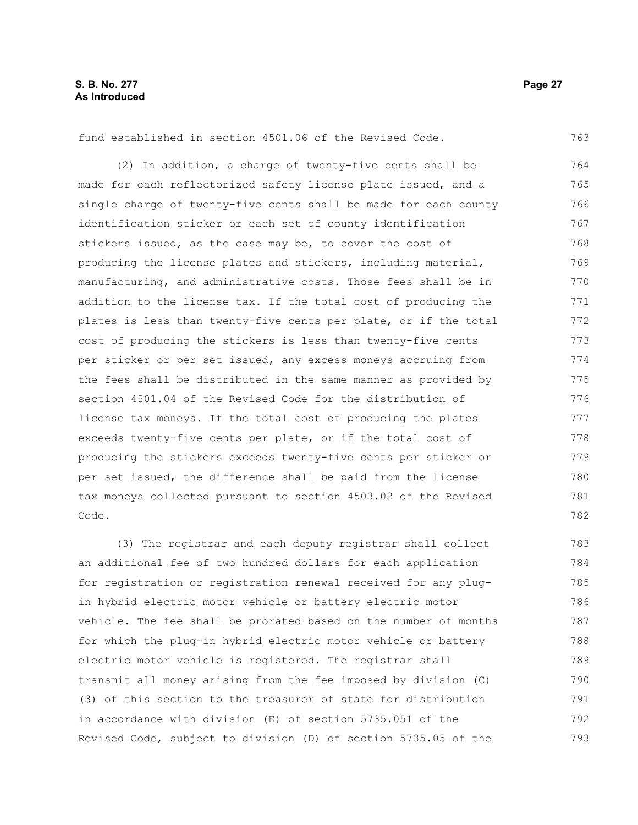fund established in section 4501.06 of the Revised Code. (2) In addition, a charge of twenty-five cents shall be made for each reflectorized safety license plate issued, and a single charge of twenty-five cents shall be made for each county identification sticker or each set of county identification stickers issued, as the case may be, to cover the cost of producing the license plates and stickers, including material, manufacturing, and administrative costs. Those fees shall be in addition to the license tax. If the total cost of producing the plates is less than twenty-five cents per plate, or if the total cost of producing the stickers is less than twenty-five cents 763 764 765 766 767 768 769 770 771 772 773

per sticker or per set issued, any excess moneys accruing from the fees shall be distributed in the same manner as provided by section 4501.04 of the Revised Code for the distribution of license tax moneys. If the total cost of producing the plates exceeds twenty-five cents per plate, or if the total cost of producing the stickers exceeds twenty-five cents per sticker or per set issued, the difference shall be paid from the license tax moneys collected pursuant to section 4503.02 of the Revised Code. 774 775 776 777 778 779 780 781 782

(3) The registrar and each deputy registrar shall collect an additional fee of two hundred dollars for each application for registration or registration renewal received for any plugin hybrid electric motor vehicle or battery electric motor vehicle. The fee shall be prorated based on the number of months for which the plug-in hybrid electric motor vehicle or battery electric motor vehicle is registered. The registrar shall transmit all money arising from the fee imposed by division (C) (3) of this section to the treasurer of state for distribution in accordance with division (E) of section 5735.051 of the Revised Code, subject to division (D) of section 5735.05 of the 783 784 785 786 787 788 789 790 791 792 793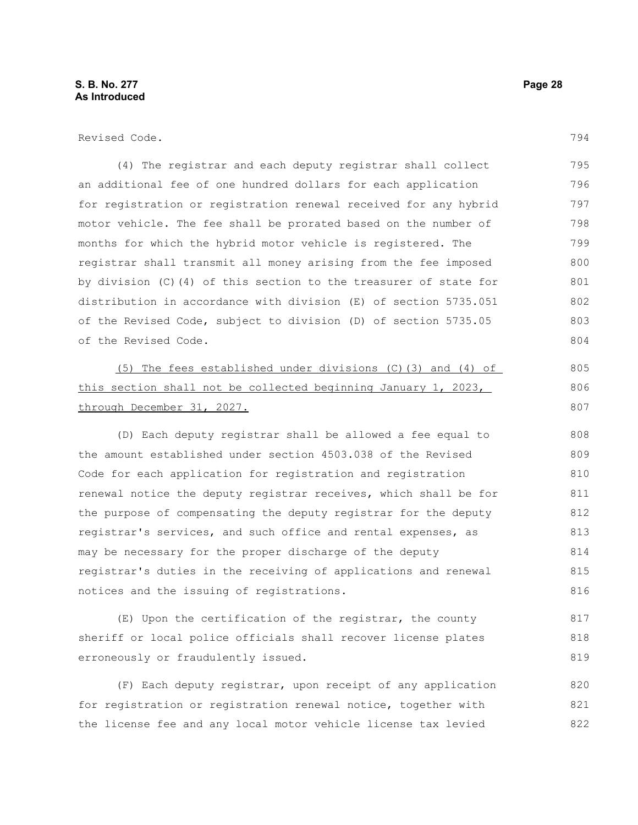794

805 806 807

Revised Code.

(4) The registrar and each deputy registrar shall collect an additional fee of one hundred dollars for each application for registration or registration renewal received for any hybrid motor vehicle. The fee shall be prorated based on the number of months for which the hybrid motor vehicle is registered. The registrar shall transmit all money arising from the fee imposed by division (C)(4) of this section to the treasurer of state for distribution in accordance with division (E) of section 5735.051 of the Revised Code, subject to division (D) of section 5735.05 of the Revised Code. 795 796 797 798 799 800 801 802 803 804

(5) The fees established under divisions (C)(3) and (4) of this section shall not be collected beginning January 1, 2023, through December 31, 2027.

(D) Each deputy registrar shall be allowed a fee equal to the amount established under section 4503.038 of the Revised Code for each application for registration and registration renewal notice the deputy registrar receives, which shall be for the purpose of compensating the deputy registrar for the deputy registrar's services, and such office and rental expenses, as may be necessary for the proper discharge of the deputy registrar's duties in the receiving of applications and renewal notices and the issuing of registrations. 808 809 810 811 812 813 814 815 816

(E) Upon the certification of the registrar, the county sheriff or local police officials shall recover license plates erroneously or fraudulently issued. 817 818 819

(F) Each deputy registrar, upon receipt of any application for registration or registration renewal notice, together with the license fee and any local motor vehicle license tax levied 820 821 822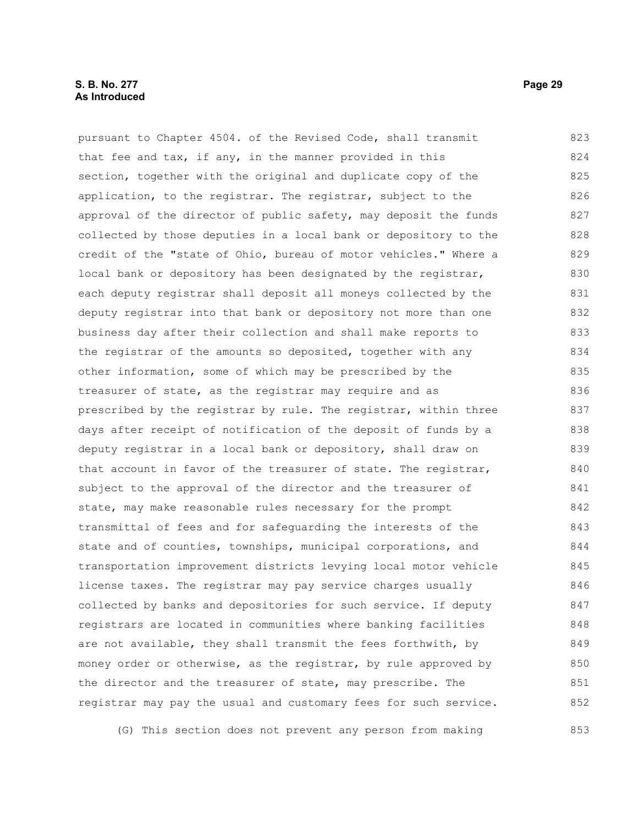#### **S. B. No. 277 Page 29 As Introduced**

pursuant to Chapter 4504. of the Revised Code, shall transmit that fee and tax, if any, in the manner provided in this section, together with the original and duplicate copy of the application, to the registrar. The registrar, subject to the approval of the director of public safety, may deposit the funds collected by those deputies in a local bank or depository to the credit of the "state of Ohio, bureau of motor vehicles." Where a local bank or depository has been designated by the registrar, each deputy registrar shall deposit all moneys collected by the deputy registrar into that bank or depository not more than one business day after their collection and shall make reports to the registrar of the amounts so deposited, together with any other information, some of which may be prescribed by the treasurer of state, as the registrar may require and as prescribed by the registrar by rule. The registrar, within three days after receipt of notification of the deposit of funds by a deputy registrar in a local bank or depository, shall draw on that account in favor of the treasurer of state. The registrar, subject to the approval of the director and the treasurer of state, may make reasonable rules necessary for the prompt transmittal of fees and for safeguarding the interests of the state and of counties, townships, municipal corporations, and transportation improvement districts levying local motor vehicle license taxes. The registrar may pay service charges usually collected by banks and depositories for such service. If deputy registrars are located in communities where banking facilities are not available, they shall transmit the fees forthwith, by money order or otherwise, as the registrar, by rule approved by the director and the treasurer of state, may prescribe. The registrar may pay the usual and customary fees for such service. 823 824 825 826 827 828 829 830 831 832 833 834 835 836 837 838 839 840 841 842 843 844 845 846 847 848 849 850 851 852

(G) This section does not prevent any person from making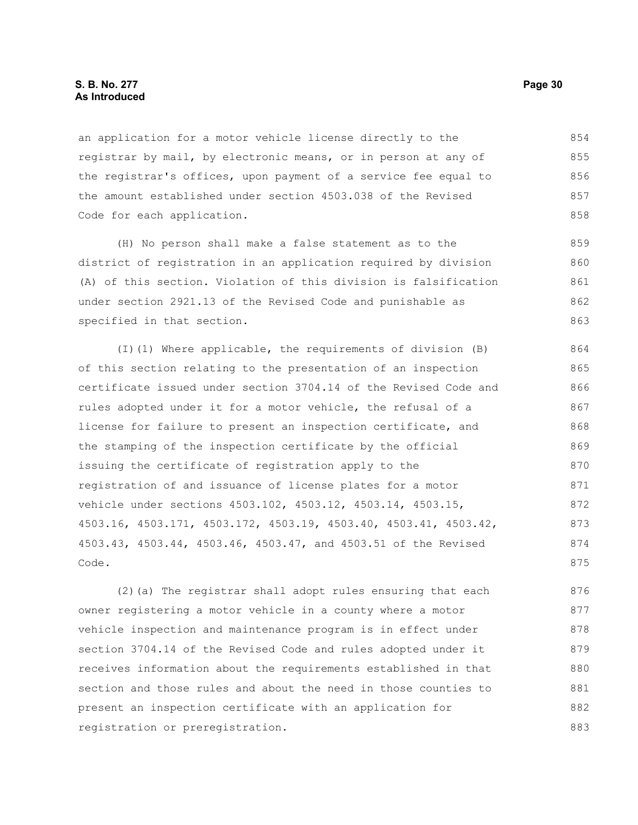#### **S. B. No. 277 Page 30 As Introduced**

an application for a motor vehicle license directly to the registrar by mail, by electronic means, or in person at any of the registrar's offices, upon payment of a service fee equal to the amount established under section 4503.038 of the Revised Code for each application. 854 855 856 857 858

(H) No person shall make a false statement as to the district of registration in an application required by division (A) of this section. Violation of this division is falsification under section 2921.13 of the Revised Code and punishable as specified in that section. 859 860 861 862 863

(I)(1) Where applicable, the requirements of division (B) of this section relating to the presentation of an inspection certificate issued under section 3704.14 of the Revised Code and rules adopted under it for a motor vehicle, the refusal of a license for failure to present an inspection certificate, and the stamping of the inspection certificate by the official issuing the certificate of registration apply to the registration of and issuance of license plates for a motor vehicle under sections 4503.102, 4503.12, 4503.14, 4503.15, 4503.16, 4503.171, 4503.172, 4503.19, 4503.40, 4503.41, 4503.42, 4503.43, 4503.44, 4503.46, 4503.47, and 4503.51 of the Revised Code. 864 865 866 867 868 869 870 871 872 873 874 875

(2)(a) The registrar shall adopt rules ensuring that each owner registering a motor vehicle in a county where a motor vehicle inspection and maintenance program is in effect under section 3704.14 of the Revised Code and rules adopted under it receives information about the requirements established in that section and those rules and about the need in those counties to present an inspection certificate with an application for registration or preregistration. 876 877 878 879 880 881 882 883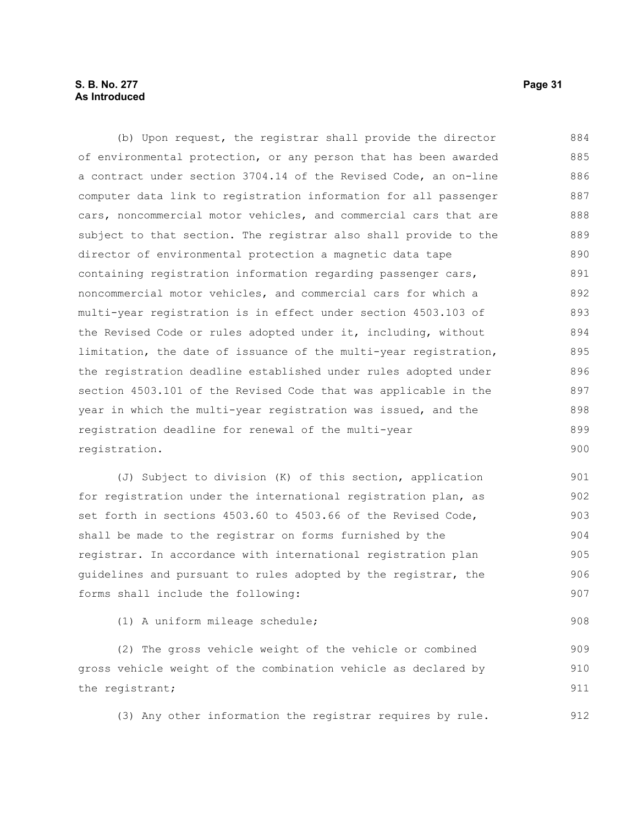### **S. B. No. 277 Page 31 As Introduced**

(b) Upon request, the registrar shall provide the director of environmental protection, or any person that has been awarded a contract under section 3704.14 of the Revised Code, an on-line computer data link to registration information for all passenger cars, noncommercial motor vehicles, and commercial cars that are subject to that section. The registrar also shall provide to the director of environmental protection a magnetic data tape containing registration information regarding passenger cars, noncommercial motor vehicles, and commercial cars for which a multi-year registration is in effect under section 4503.103 of the Revised Code or rules adopted under it, including, without limitation, the date of issuance of the multi-year registration, the registration deadline established under rules adopted under section 4503.101 of the Revised Code that was applicable in the year in which the multi-year registration was issued, and the registration deadline for renewal of the multi-year registration. 884 885 886 887 888 889 890 891 892 893 894 895 896 897 898 899 900

(J) Subject to division (K) of this section, application for registration under the international registration plan, as set forth in sections 4503.60 to 4503.66 of the Revised Code, shall be made to the registrar on forms furnished by the registrar. In accordance with international registration plan guidelines and pursuant to rules adopted by the registrar, the forms shall include the following: 901 902 903 904 905 906 907

(1) A uniform mileage schedule;

(2) The gross vehicle weight of the vehicle or combined gross vehicle weight of the combination vehicle as declared by the registrant; 909 910 911

(3) Any other information the registrar requires by rule. 912